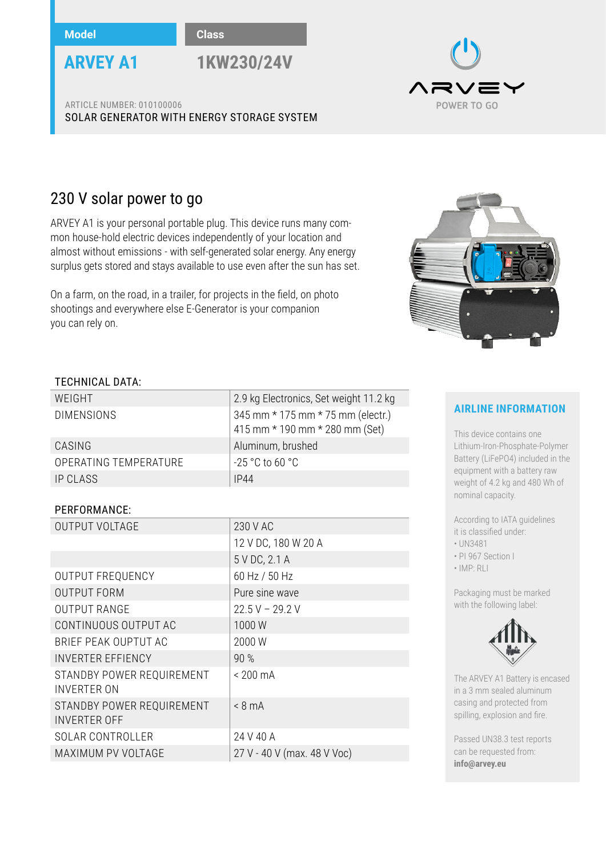**Model Class**



**ARVEY A1 1KW230/24V**

/ =丶 POWER TO GO

ARTICLE NUMBER: 010100006 SOLAR GENERATOR WITH ENERGY STORAGE SYSTEM

# 230 V solar power to go

ARVEY A1 is your personal portable plug. This device runs many common house-hold electric devices independently of your location and almost without emissions - with self-generated solar energy. Any energy surplus gets stored and stays available to use even after the sun has set.

On a farm, on the road, in a trailer, for projects in the field, on photo shootings and everywhere else E-Generator is your companion you can rely on.



### TECHNICAL DATA:

| WEIGHT                | 2.9 kg Electronics, Set weight 11.2 kg                              |
|-----------------------|---------------------------------------------------------------------|
| <b>DIMENSIONS</b>     | 345 mm * 175 mm * 75 mm (electr.)<br>415 mm * 190 mm * 280 mm (Set) |
| CASING                | Aluminum, brushed                                                   |
| OPERATING TEMPERATURE | $-25$ °C to 60 °C                                                   |
| IP CLASS              | IP44                                                                |
|                       |                                                                     |

#### PERFORMANCE:

| <b>OUTPUT VOLTAGE</b>                            | 230 V AC                    |
|--------------------------------------------------|-----------------------------|
|                                                  | 12 V DC, 180 W 20 A         |
|                                                  | 5 V DC, 2.1 A               |
| OUTPUT FREQUENCY                                 | 60 Hz / 50 Hz               |
| <b>OUTPUT FORM</b>                               | Pure sine wave              |
| <b>OUTPUT RANGE</b>                              | $22.5 V - 29.2 V$           |
| CONTINUOUS OUTPUT AC                             | 1000W                       |
| BRIEF PEAK OUPTUT AC                             | 2000 W                      |
| <b>INVERTER EFFIENCY</b>                         | 90 %                        |
| STANDBY POWER REQUIREMENT<br>INVERTER ON         | $< 200 \text{ mA}$          |
| STANDBY POWER REQUIREMENT<br><b>INVERTER OFF</b> | $< 8 \text{ mA}$            |
| <b>SOLAR CONTROLLER</b>                          | 24 V 40 A                   |
| MAXIMUM PV VOLTAGE                               | 27 V - 40 V (max. 48 V Voc) |

# **AIRLINE INFORMATION**

This device contains one Lithium-Iron-Phosphate-Polymer Battery (LiFePO4) included in the equipment with a battery raw weight of 4.2 kg and 480 Wh of nominal capacity.

According to IATA guidelines it is classified under:

• UN3481

• PI 967 Section I

• IMP: RLI

Packaging must be marked with the following label:



The ARVEY A1 Battery is encased in a 3 mm sealed aluminum casing and protected from spilling, explosion and fire.

Passed UN38.3 test reports can be requested from: **info@arvey.eu**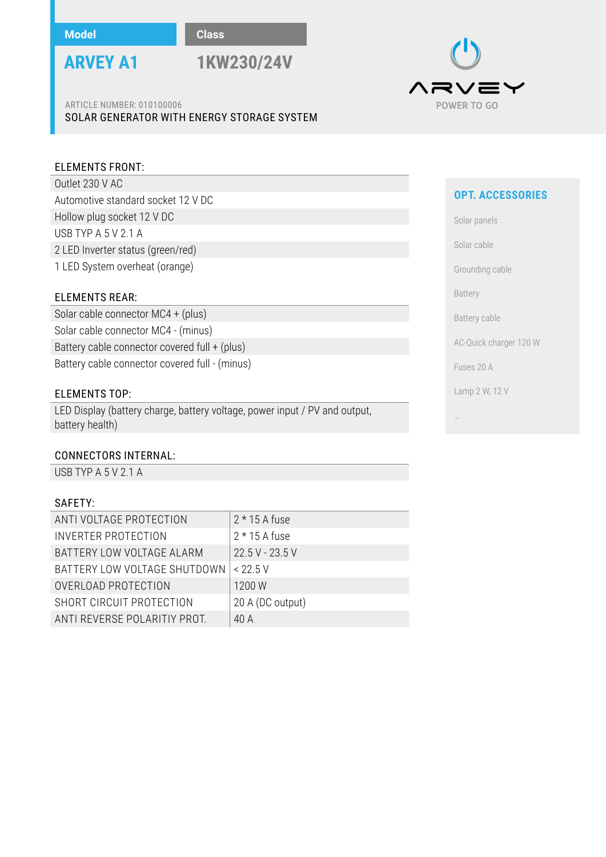

**ARVEY A1 1KW230/24V**

ARTICLE NUMBER: 010100006 SOLAR GENERATOR WITH ENERGY STORAGE SYSTEM

#### ELEMENTS FRONT:

Outlet 230 V AC Automotive standard socket 12 V DC Hollow plug socket 12 V DC USB TYP A 5 V 2.1 A 2 LED Inverter status (green/red) 1 LED System overheat (orange)

#### ELEMENTS REAR:

Solar cable connector MC4 + (plus) Solar cable connector MC4 - (minus) Battery cable connector covered full + (plus) Battery cable connector covered full - (minus)

#### ELEMENTS TOP:

LED Display (battery charge, battery voltage, power input / PV and output, battery health)

#### CONNECTORS INTERNAL:

USB TYP A 5 V 2.1 A

#### SAFETY:

| ANTI VOLTAGE PROTECTION      | $2*15A$ fuse     |
|------------------------------|------------------|
| <b>INVERTER PROTECTION</b>   | $2*15A$ fuse     |
| BATTERY LOW VOLTAGE ALARM    | 22.5 V - 23.5 V  |
| BATTERY LOW VOLTAGE SHUTDOWN | < 22.5 V         |
| OVERLOAD PROTECTION          | 1200 W           |
| SHORT CIRCUIT PROTECTION     | 20 A (DC output) |
| ANTI REVERSE POLARITIY PROT. | 40 A             |
|                              |                  |



### **OPT. ACCESSORIES**

Solar panels

Solar cable

Grounding cable

Battery

Battery cable

AC-Quick charger 120 W

Fuses 20 A

…

Lamp 2 W, 12 V